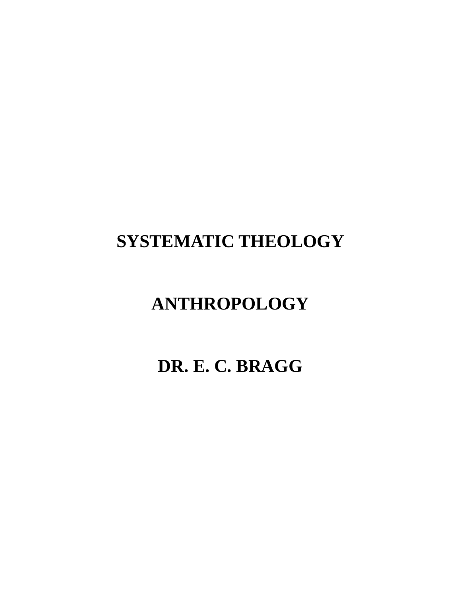# **SYSTEMATIC THEOLOGY**

# **ANTHROPOLOGY**

**DR. E. C. BRAGG**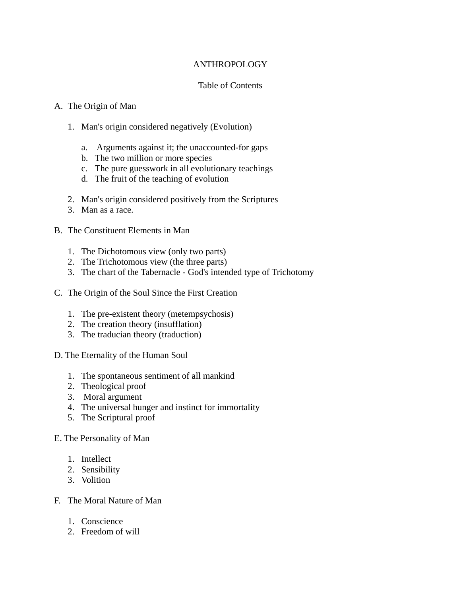# ANTHROPOLOGY

# Table of Contents

## A. The Origin of Man

- 1. Man's origin considered negatively (Evolution)
	- a. Arguments against it; the unaccounted-for gaps
	- b. The two million or more species
	- c. The pure guesswork in all evolutionary teachings
	- d. The fruit of the teaching of evolution
- 2. Man's origin considered positively from the Scriptures
- 3. Man as a race.
- B. The Constituent Elements in Man
	- 1. The Dichotomous view (only two parts)
	- 2. The Trichotomous view (the three parts)
	- 3. The chart of the Tabernacle God's intended type of Trichotomy
- C. The Origin of the Soul Since the First Creation
	- 1. The pre-existent theory (metempsychosis)
	- 2. The creation theory (insufflation)
	- 3. The traducian theory (traduction)
- D. The Eternality of the Human Soul
	- 1. The spontaneous sentiment of all mankind
	- 2. Theological proof
	- 3. Moral argument
	- 4. The universal hunger and instinct for immortality
	- 5. The Scriptural proof

## E. The Personality of Man

- 1. Intellect
- 2. Sensibility
- 3. Volition
- F. The Moral Nature of Man
	- 1. Conscience
	- 2. Freedom of will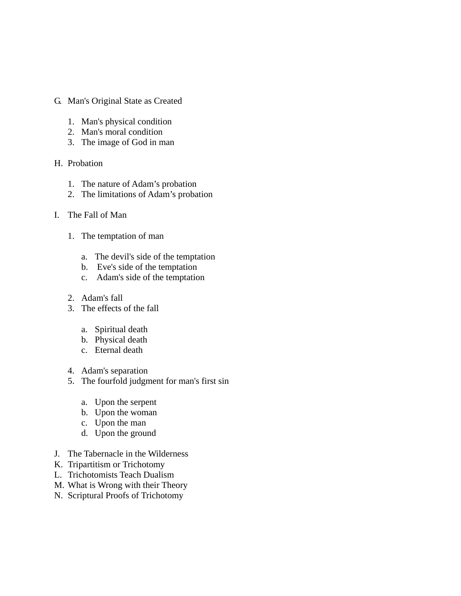- G. Man's Original State as Created
	- 1. Man's physical condition
	- 2. Man's moral condition
	- 3. The image of God in man
- H. Probation
	- 1. The nature of Adam's probation
	- 2. The limitations of Adam's probation
- I. The Fall of Man
	- 1. The temptation of man
		- a. The devil's side of the temptation
		- b. Eve's side of the temptation
		- c. Adam's side of the temptation
	- 2. Adam's fall
	- 3. The effects of the fall
		- a. Spiritual death
		- b. Physical death
		- c. Eternal death
	- 4. Adam's separation
	- 5. The fourfold judgment for man's first sin
		- a. Upon the serpent
		- b. Upon the woman
		- c. Upon the man
		- d. Upon the ground
- J. The Tabernacle in the Wilderness
- K. Tripartitism or Trichotomy
- L. Trichotomists Teach Dualism
- M. What is Wrong with their Theory
- N. Scriptural Proofs of Trichotomy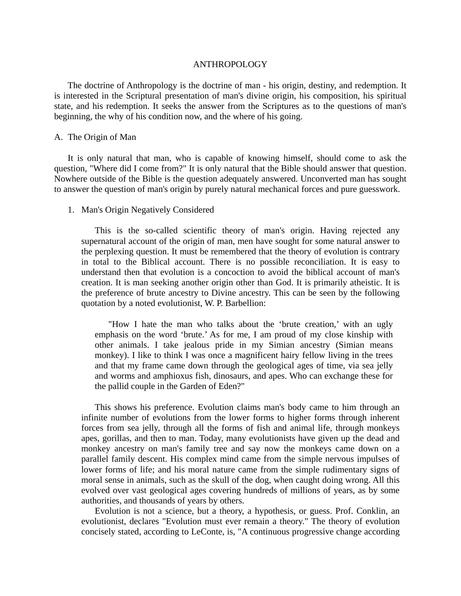#### ANTHROPOLOGY

 The doctrine of Anthropology is the doctrine of man - his origin, destiny, and redemption. It is interested in the Scriptural presentation of man's divine origin, his composition, his spiritual state, and his redemption. It seeks the answer from the Scriptures as to the questions of man's beginning, the why of his condition now, and the where of his going.

## A. The Origin of Man

 It is only natural that man, who is capable of knowing himself, should come to ask the question, "Where did I come from?" It is only natural that the Bible should answer that question. Nowhere outside of the Bible is the question adequately answered. Unconverted man has sought to answer the question of man's origin by purely natural mechanical forces and pure guesswork.

## 1. Man's Origin Negatively Considered

 This is the so-called scientific theory of man's origin. Having rejected any supernatural account of the origin of man, men have sought for some natural answer to the perplexing question. It must be remembered that the theory of evolution is contrary in total to the Biblical account. There is no possible reconciliation. It is easy to understand then that evolution is a concoction to avoid the biblical account of man's creation. It is man seeking another origin other than God. It is primarily atheistic. It is the preference of brute ancestry to Divine ancestry. This can be seen by the following quotation by a noted evolutionist, W. P. Barbellion:

 "How I hate the man who talks about the 'brute creation,' with an ugly emphasis on the word 'brute.' As for me, I am proud of my close kinship with other animals. I take jealous pride in my Simian ancestry (Simian means monkey). I like to think I was once a magnificent hairy fellow living in the trees and that my frame came down through the geological ages of time, via sea jelly and worms and amphioxus fish, dinosaurs, and apes. Who can exchange these for the pallid couple in the Garden of Eden?"

 This shows his preference. Evolution claims man's body came to him through an infinite number of evolutions from the lower forms to higher forms through inherent forces from sea jelly, through all the forms of fish and animal life, through monkeys apes, gorillas, and then to man. Today, many evolutionists have given up the dead and monkey ancestry on man's family tree and say now the monkeys came down on a parallel family descent. His complex mind came from the simple nervous impulses of lower forms of life; and his moral nature came from the simple rudimentary signs of moral sense in animals, such as the skull of the dog, when caught doing wrong. All this evolved over vast geological ages covering hundreds of millions of years, as by some authorities, and thousands of years by others.

 Evolution is not a science, but a theory, a hypothesis, or guess. Prof. Conklin, an evolutionist, declares "Evolution must ever remain a theory." The theory of evolution concisely stated, according to LeConte, is, "A continuous progressive change according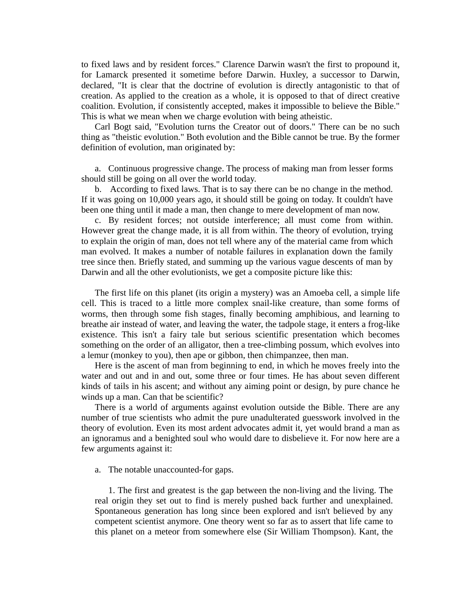to fixed laws and by resident forces." Clarence Darwin wasn't the first to propound it, for Lamarck presented it sometime before Darwin. Huxley, a successor to Darwin, declared, "It is clear that the doctrine of evolution is directly antagonistic to that of creation. As applied to the creation as a whole, it is opposed to that of direct creative coalition. Evolution, if consistently accepted, makes it impossible to believe the Bible." This is what we mean when we charge evolution with being atheistic.

 Carl Bogt said, "Evolution turns the Creator out of doors." There can be no such thing as "theistic evolution." Both evolution and the Bible cannot be true. By the former definition of evolution, man originated by:

 a. Continuous progressive change. The process of making man from lesser forms should still be going on all over the world today.

 b. According to fixed laws. That is to say there can be no change in the method. If it was going on 10,000 years ago, it should still be going on today. It couldn't have been one thing until it made a man, then change to mere development of man now.

 c. By resident forces; not outside interference; all must come from within. However great the change made, it is all from within. The theory of evolution, trying to explain the origin of man, does not tell where any of the material came from which man evolved. It makes a number of notable failures in explanation down the family tree since then. Briefly stated, and summing up the various vague descents of man by Darwin and all the other evolutionists, we get a composite picture like this:

 The first life on this planet (its origin a mystery) was an Amoeba cell, a simple life cell. This is traced to a little more complex snail-like creature, than some forms of worms, then through some fish stages, finally becoming amphibious, and learning to breathe air instead of water, and leaving the water, the tadpole stage, it enters a frog-like existence. This isn't a fairy tale but serious scientific presentation which becomes something on the order of an alligator, then a tree-climbing possum, which evolves into a lemur (monkey to you), then ape or gibbon, then chimpanzee, then man.

 Here is the ascent of man from beginning to end, in which he moves freely into the water and out and in and out, some three or four times. He has about seven different kinds of tails in his ascent; and without any aiming point or design, by pure chance he winds up a man. Can that be scientific?

 There is a world of arguments against evolution outside the Bible. There are any number of true scientists who admit the pure unadulterated guesswork involved in the theory of evolution. Even its most ardent advocates admit it, yet would brand a man as an ignoramus and a benighted soul who would dare to disbelieve it. For now here are a few arguments against it:

a. The notable unaccounted-for gaps.

 1. The first and greatest is the gap between the non-living and the living. The real origin they set out to find is merely pushed back further and unexplained. Spontaneous generation has long since been explored and isn't believed by any competent scientist anymore. One theory went so far as to assert that life came to this planet on a meteor from somewhere else (Sir William Thompson). Kant, the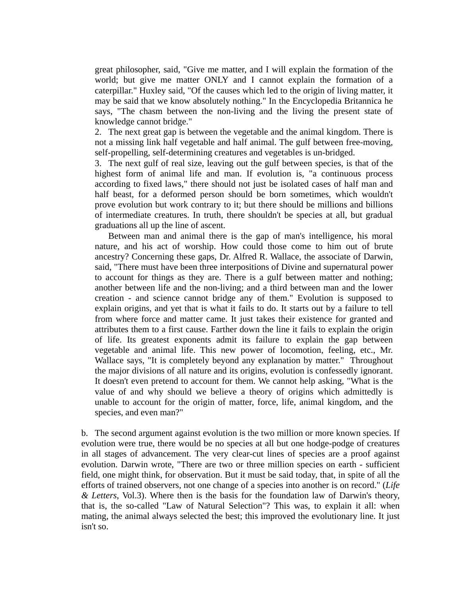great philosopher, said, "Give me matter, and I will explain the formation of the world; but give me matter ONLY and I cannot explain the formation of a caterpillar." Huxley said, "Of the causes which led to the origin of living matter, it may be said that we know absolutely nothing." In the Encyclopedia Britannica he says, "The chasm between the non-living and the living the present state of knowledge cannot bridge."

2. The next great gap is between the vegetable and the animal kingdom. There is not a missing link half vegetable and half animal. The gulf between free-moving, self-propelling, self-determining creatures and vegetables is un-bridged.

3. The next gulf of real size, leaving out the gulf between species, is that of the highest form of animal life and man. If evolution is, "a continuous process according to fixed laws," there should not just be isolated cases of half man and half beast, for a deformed person should be born sometimes, which wouldn't prove evolution but work contrary to it; but there should be millions and billions of intermediate creatures. In truth, there shouldn't be species at all, but gradual graduations all up the line of ascent.

 Between man and animal there is the gap of man's intelligence, his moral nature, and his act of worship. How could those come to him out of brute ancestry? Concerning these gaps, Dr. Alfred R. Wallace, the associate of Darwin, said, "There must have been three interpositions of Divine and supernatural power to account for things as they are. There is a gulf between matter and nothing; another between life and the non-living; and a third between man and the lower creation - and science cannot bridge any of them." Evolution is supposed to explain origins, and yet that is what it fails to do. It starts out by a failure to tell from where force and matter came. It just takes their existence for granted and attributes them to a first cause. Farther down the line it fails to explain the origin of life. Its greatest exponents admit its failure to explain the gap between vegetable and animal life. This new power of locomotion, feeling, etc., Mr. Wallace says, "It is completely beyond any explanation by matter." Throughout the major divisions of all nature and its origins, evolution is confessedly ignorant. It doesn't even pretend to account for them. We cannot help asking, "What is the value of and why should we believe a theory of origins which admittedly is unable to account for the origin of matter, force, life, animal kingdom, and the species, and even man?"

b. The second argument against evolution is the two million or more known species. If evolution were true, there would be no species at all but one hodge-podge of creatures in all stages of advancement. The very clear-cut lines of species are a proof against evolution. Darwin wrote, "There are two or three million species on earth - sufficient field, one might think, for observation. But it must be said today, that, in spite of all the efforts of trained observers, not one change of a species into another is on record." (*Life & Letters*, Vol.3). Where then is the basis for the foundation law of Darwin's theory, that is, the so-called "Law of Natural Selection"? This was, to explain it all: when mating, the animal always selected the best; this improved the evolutionary line. It just isn't so.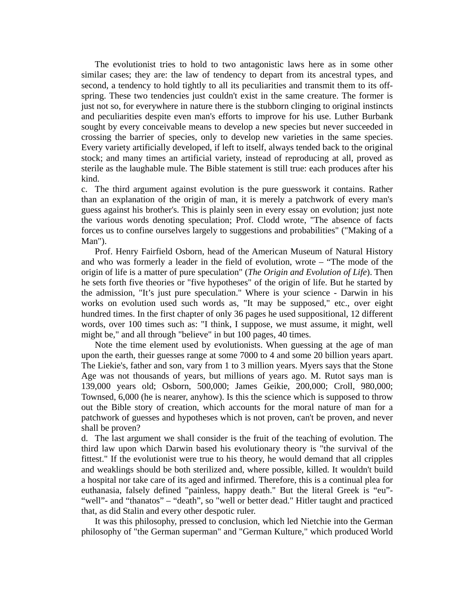The evolutionist tries to hold to two antagonistic laws here as in some other similar cases; they are: the law of tendency to depart from its ancestral types, and second, a tendency to hold tightly to all its peculiarities and transmit them to its offspring. These two tendencies just couldn't exist in the same creature. The former is just not so, for everywhere in nature there is the stubborn clinging to original instincts and peculiarities despite even man's efforts to improve for his use. Luther Burbank sought by every conceivable means to develop a new species but never succeeded in crossing the barrier of species, only to develop new varieties in the same species. Every variety artificially developed, if left to itself, always tended back to the original stock; and many times an artificial variety, instead of reproducing at all, proved as sterile as the laughable mule. The Bible statement is still true: each produces after his kind.

c. The third argument against evolution is the pure guesswork it contains. Rather than an explanation of the origin of man, it is merely a patchwork of every man's guess against his brother's. This is plainly seen in every essay on evolution; just note the various words denoting speculation; Prof. Clodd wrote, "The absence of facts forces us to confine ourselves largely to suggestions and probabilities" ("Making of a Man").

 Prof. Henry Fairfield Osborn, head of the American Museum of Natural History and who was formerly a leader in the field of evolution, wrote – "The mode of the origin of life is a matter of pure speculation" (*The Origin and Evolution of Life*). Then he sets forth five theories or "five hypotheses" of the origin of life. But he started by the admission, "It's just pure speculation." Where is your science - Darwin in his works on evolution used such words as, "It may be supposed," etc., over eight hundred times. In the first chapter of only 36 pages he used suppositional, 12 different words, over 100 times such as: "I think, I suppose, we must assume, it might, well might be," and all through "believe" in but 100 pages, 40 times.

 Note the time element used by evolutionists. When guessing at the age of man upon the earth, their guesses range at some 7000 to 4 and some 20 billion years apart. The Liekie's, father and son, vary from 1 to 3 million years. Myers says that the Stone Age was not thousands of years, but millions of years ago. M. Rutot says man is 139,000 years old; Osborn, 500,000; James Geikie, 200,000; Croll, 980,000; Townsed, 6,000 (he is nearer, anyhow). Is this the science which is supposed to throw out the Bible story of creation, which accounts for the moral nature of man for a patchwork of guesses and hypotheses which is not proven, can't be proven, and never shall be proven?

d. The last argument we shall consider is the fruit of the teaching of evolution. The third law upon which Darwin based his evolutionary theory is "the survival of the fittest." If the evolutionist were true to his theory, he would demand that all cripples and weaklings should be both sterilized and, where possible, killed. It wouldn't build a hospital nor take care of its aged and infirmed. Therefore, this is a continual plea for euthanasia, falsely defined "painless, happy death." But the literal Greek is "eu"- "well"- and "thanatos" – "death", so "well or better dead." Hitler taught and practiced that, as did Stalin and every other despotic ruler.

 It was this philosophy, pressed to conclusion, which led Nietchie into the German philosophy of "the German superman" and "German Kulture," which produced World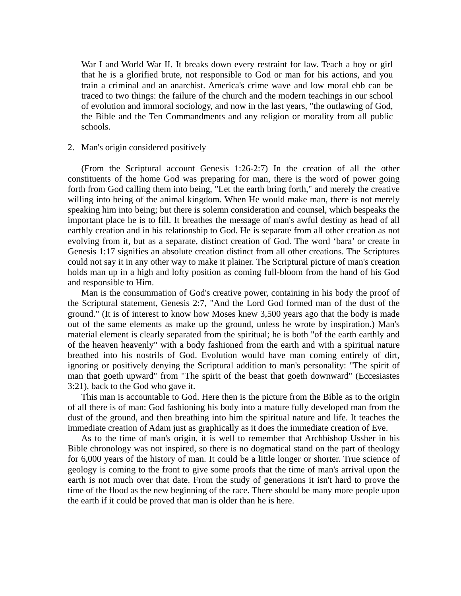War I and World War II. It breaks down every restraint for law. Teach a boy or girl that he is a glorified brute, not responsible to God or man for his actions, and you train a criminal and an anarchist. America's crime wave and low moral ebb can be traced to two things: the failure of the church and the modern teachings in our school of evolution and immoral sociology, and now in the last years, "the outlawing of God, the Bible and the Ten Commandments and any religion or morality from all public schools.

#### 2. Man's origin considered positively

 (From the Scriptural account Genesis 1:26-2:7) In the creation of all the other constituents of the home God was preparing for man, there is the word of power going forth from God calling them into being, "Let the earth bring forth," and merely the creative willing into being of the animal kingdom. When He would make man, there is not merely speaking him into being; but there is solemn consideration and counsel, which bespeaks the important place he is to fill. It breathes the message of man's awful destiny as head of all earthly creation and in his relationship to God. He is separate from all other creation as not evolving from it, but as a separate, distinct creation of God. The word 'bara' or create in Genesis 1:17 signifies an absolute creation distinct from all other creations. The Scriptures could not say it in any other way to make it plainer. The Scriptural picture of man's creation holds man up in a high and lofty position as coming full-bloom from the hand of his God and responsible to Him.

 Man is the consummation of God's creative power, containing in his body the proof of the Scriptural statement, Genesis 2:7, "And the Lord God formed man of the dust of the ground." (It is of interest to know how Moses knew 3,500 years ago that the body is made out of the same elements as make up the ground, unless he wrote by inspiration.) Man's material element is clearly separated from the spiritual; he is both "of the earth earthly and of the heaven heavenly" with a body fashioned from the earth and with a spiritual nature breathed into his nostrils of God. Evolution would have man coming entirely of dirt, ignoring or positively denying the Scriptural addition to man's personality: "The spirit of man that goeth upward" from "The spirit of the beast that goeth downward" (Eccesiastes 3:21), back to the God who gave it.

 This man is accountable to God. Here then is the picture from the Bible as to the origin of all there is of man: God fashioning his body into a mature fully developed man from the dust of the ground, and then breathing into him the spiritual nature and life. It teaches the immediate creation of Adam just as graphically as it does the immediate creation of Eve.

 As to the time of man's origin, it is well to remember that Archbishop Ussher in his Bible chronology was not inspired, so there is no dogmatical stand on the part of theology for 6,000 years of the history of man. It could be a little longer or shorter. True science of geology is coming to the front to give some proofs that the time of man's arrival upon the earth is not much over that date. From the study of generations it isn't hard to prove the time of the flood as the new beginning of the race. There should be many more people upon the earth if it could be proved that man is older than he is here.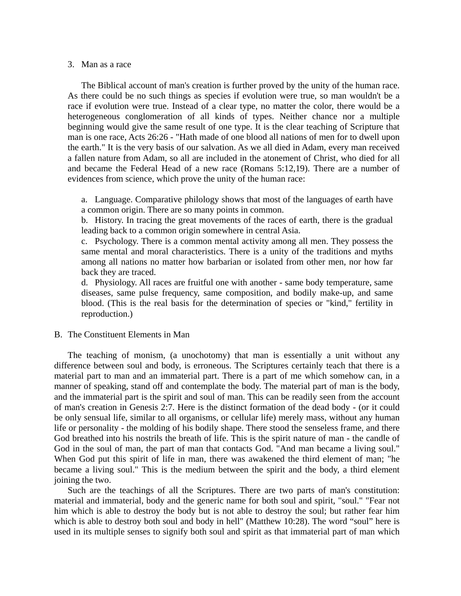#### 3. Man as a race

 The Biblical account of man's creation is further proved by the unity of the human race. As there could be no such things as species if evolution were true, so man wouldn't be a race if evolution were true. Instead of a clear type, no matter the color, there would be a heterogeneous conglomeration of all kinds of types. Neither chance nor a multiple beginning would give the same result of one type. It is the clear teaching of Scripture that man is one race, Acts 26:26 - "Hath made of one blood all nations of men for to dwell upon the earth." It is the very basis of our salvation. As we all died in Adam, every man received a fallen nature from Adam, so all are included in the atonement of Christ, who died for all and became the Federal Head of a new race (Romans 5:12,19). There are a number of evidences from science, which prove the unity of the human race:

a. Language. Comparative philology shows that most of the languages of earth have a common origin. There are so many points in common.

b. History. In tracing the great movements of the races of earth, there is the gradual leading back to a common origin somewhere in central Asia.

c. Psychology. There is a common mental activity among all men. They possess the same mental and moral characteristics. There is a unity of the traditions and myths among all nations no matter how barbarian or isolated from other men, nor how far back they are traced.

d. Physiology. All races are fruitful one with another - same body temperature, same diseases, same pulse frequency, same composition, and bodily make-up, and same blood. (This is the real basis for the determination of species or "kind," fertility in reproduction.)

## B. The Constituent Elements in Man

 The teaching of monism, (a unochotomy) that man is essentially a unit without any difference between soul and body, is erroneous. The Scriptures certainly teach that there is a material part to man and an immaterial part. There is a part of me which somehow can, in a manner of speaking, stand off and contemplate the body. The material part of man is the body, and the immaterial part is the spirit and soul of man. This can be readily seen from the account of man's creation in Genesis 2:7. Here is the distinct formation of the dead body - (or it could be only sensual life, similar to all organisms, or cellular life) merely mass, without any human life or personality - the molding of his bodily shape. There stood the senseless frame, and there God breathed into his nostrils the breath of life. This is the spirit nature of man - the candle of God in the soul of man, the part of man that contacts God. "And man became a living soul." When God put this spirit of life in man, there was awakened the third element of man; "he became a living soul." This is the medium between the spirit and the body, a third element joining the two.

 Such are the teachings of all the Scriptures. There are two parts of man's constitution: material and immaterial, body and the generic name for both soul and spirit, "soul." "Fear not him which is able to destroy the body but is not able to destroy the soul; but rather fear him which is able to destroy both soul and body in hell" (Matthew 10:28). The word "soul" here is used in its multiple senses to signify both soul and spirit as that immaterial part of man which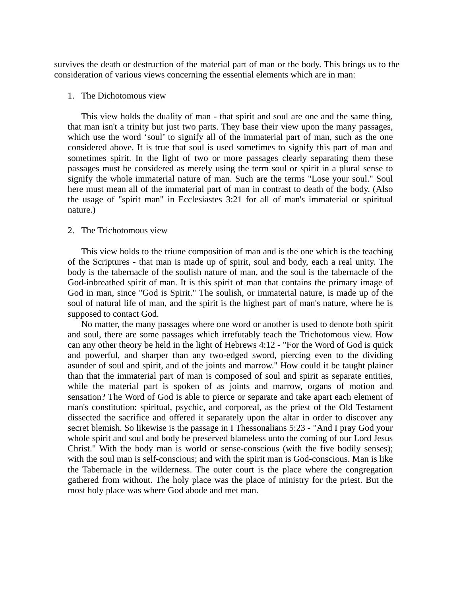survives the death or destruction of the material part of man or the body. This brings us to the consideration of various views concerning the essential elements which are in man:

## 1. The Dichotomous view

 This view holds the duality of man - that spirit and soul are one and the same thing, that man isn't a trinity but just two parts. They base their view upon the many passages, which use the word 'soul' to signify all of the immaterial part of man, such as the one considered above. It is true that soul is used sometimes to signify this part of man and sometimes spirit. In the light of two or more passages clearly separating them these passages must be considered as merely using the term soul or spirit in a plural sense to signify the whole immaterial nature of man. Such are the terms "Lose your soul." Soul here must mean all of the immaterial part of man in contrast to death of the body. (Also the usage of "spirit man" in Ecclesiastes 3:21 for all of man's immaterial or spiritual nature.)

#### 2. The Trichotomous view

 This view holds to the triune composition of man and is the one which is the teaching of the Scriptures - that man is made up of spirit, soul and body, each a real unity. The body is the tabernacle of the soulish nature of man, and the soul is the tabernacle of the God-inbreathed spirit of man. It is this spirit of man that contains the primary image of God in man, since "God is Spirit." The soulish, or immaterial nature, is made up of the soul of natural life of man, and the spirit is the highest part of man's nature, where he is supposed to contact God.

 No matter, the many passages where one word or another is used to denote both spirit and soul, there are some passages which irrefutably teach the Trichotomous view. How can any other theory be held in the light of Hebrews 4:12 - "For the Word of God is quick and powerful, and sharper than any two-edged sword, piercing even to the dividing asunder of soul and spirit, and of the joints and marrow." How could it be taught plainer than that the immaterial part of man is composed of soul and spirit as separate entities, while the material part is spoken of as joints and marrow, organs of motion and sensation? The Word of God is able to pierce or separate and take apart each element of man's constitution: spiritual, psychic, and corporeal, as the priest of the Old Testament dissected the sacrifice and offered it separately upon the altar in order to discover any secret blemish. So likewise is the passage in I Thessonalians 5:23 - "And I pray God your whole spirit and soul and body be preserved blameless unto the coming of our Lord Jesus Christ." With the body man is world or sense-conscious (with the five bodily senses); with the soul man is self-conscious; and with the spirit man is God-conscious. Man is like the Tabernacle in the wilderness. The outer court is the place where the congregation gathered from without. The holy place was the place of ministry for the priest. But the most holy place was where God abode and met man.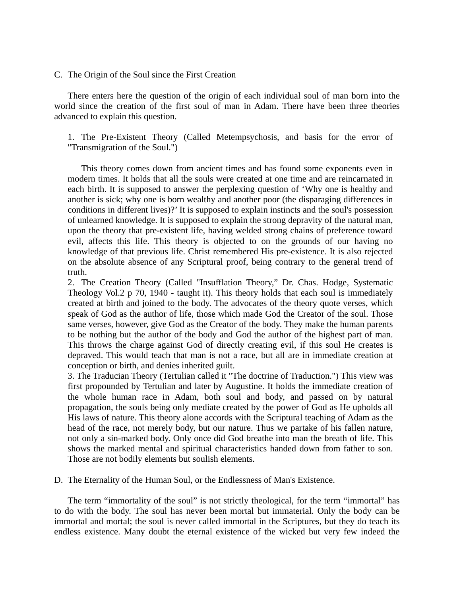## C. The Origin of the Soul since the First Creation

 There enters here the question of the origin of each individual soul of man born into the world since the creation of the first soul of man in Adam. There have been three theories advanced to explain this question.

1. The Pre-Existent Theory (Called Metempsychosis, and basis for the error of "Transmigration of the Soul.")

 This theory comes down from ancient times and has found some exponents even in modern times. It holds that all the souls were created at one time and are reincarnated in each birth. It is supposed to answer the perplexing question of 'Why one is healthy and another is sick; why one is born wealthy and another poor (the disparaging differences in conditions in different lives)?' It is supposed to explain instincts and the soul's possession of unlearned knowledge. It is supposed to explain the strong depravity of the natural man, upon the theory that pre-existent life, having welded strong chains of preference toward evil, affects this life. This theory is objected to on the grounds of our having no knowledge of that previous life. Christ remembered His pre-existence. It is also rejected on the absolute absence of any Scriptural proof, being contrary to the general trend of truth.

2. The Creation Theory (Called "Insufflation Theory," Dr. Chas. Hodge, Systematic Theology Vol.2 p 70, 1940 - taught it). This theory holds that each soul is immediately created at birth and joined to the body. The advocates of the theory quote verses, which speak of God as the author of life, those which made God the Creator of the soul. Those same verses, however, give God as the Creator of the body. They make the human parents to be nothing but the author of the body and God the author of the highest part of man. This throws the charge against God of directly creating evil, if this soul He creates is depraved. This would teach that man is not a race, but all are in immediate creation at conception or birth, and denies inherited guilt.

3. The Traducian Theory (Tertulian called it "The doctrine of Traduction.") This view was first propounded by Tertulian and later by Augustine. It holds the immediate creation of the whole human race in Adam, both soul and body, and passed on by natural propagation, the souls being only mediate created by the power of God as He upholds all His laws of nature. This theory alone accords with the Scriptural teaching of Adam as the head of the race, not merely body, but our nature. Thus we partake of his fallen nature, not only a sin-marked body. Only once did God breathe into man the breath of life. This shows the marked mental and spiritual characteristics handed down from father to son. Those are not bodily elements but soulish elements.

D. The Eternality of the Human Soul, or the Endlessness of Man's Existence.

 The term "immortality of the soul" is not strictly theological, for the term "immortal" has to do with the body. The soul has never been mortal but immaterial. Only the body can be immortal and mortal; the soul is never called immortal in the Scriptures, but they do teach its endless existence. Many doubt the eternal existence of the wicked but very few indeed the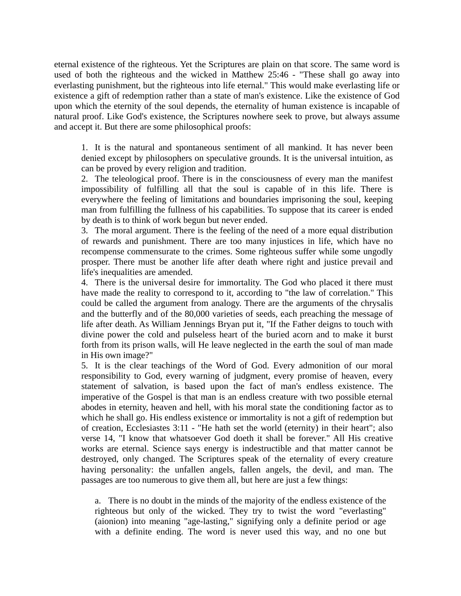eternal existence of the righteous. Yet the Scriptures are plain on that score. The same word is used of both the righteous and the wicked in Matthew 25:46 - "These shall go away into everlasting punishment, but the righteous into life eternal." This would make everlasting life or existence a gift of redemption rather than a state of man's existence. Like the existence of God upon which the eternity of the soul depends, the eternality of human existence is incapable of natural proof. Like God's existence, the Scriptures nowhere seek to prove, but always assume and accept it. But there are some philosophical proofs:

1. It is the natural and spontaneous sentiment of all mankind. It has never been denied except by philosophers on speculative grounds. It is the universal intuition, as can be proved by every religion and tradition.

2. The teleological proof. There is in the consciousness of every man the manifest impossibility of fulfilling all that the soul is capable of in this life. There is everywhere the feeling of limitations and boundaries imprisoning the soul, keeping man from fulfilling the fullness of his capabilities. To suppose that its career is ended by death is to think of work begun but never ended.

3. The moral argument. There is the feeling of the need of a more equal distribution of rewards and punishment. There are too many injustices in life, which have no recompense commensurate to the crimes. Some righteous suffer while some ungodly prosper. There must be another life after death where right and justice prevail and life's inequalities are amended.

4. There is the universal desire for immortality. The God who placed it there must have made the reality to correspond to it, according to "the law of correlation." This could be called the argument from analogy. There are the arguments of the chrysalis and the butterfly and of the 80,000 varieties of seeds, each preaching the message of life after death. As William Jennings Bryan put it, "If the Father deigns to touch with divine power the cold and pulseless heart of the buried acorn and to make it burst forth from its prison walls, will He leave neglected in the earth the soul of man made in His own image?"

5. It is the clear teachings of the Word of God. Every admonition of our moral responsibility to God, every warning of judgment, every promise of heaven, every statement of salvation, is based upon the fact of man's endless existence. The imperative of the Gospel is that man is an endless creature with two possible eternal abodes in eternity, heaven and hell, with his moral state the conditioning factor as to which he shall go. His endless existence or immortality is not a gift of redemption but of creation, Ecclesiastes 3:11 - "He hath set the world (eternity) in their heart"; also verse 14, "I know that whatsoever God doeth it shall be forever." All His creative works are eternal. Science says energy is indestructible and that matter cannot be destroyed, only changed. The Scriptures speak of the eternality of every creature having personality: the unfallen angels, fallen angels, the devil, and man. The passages are too numerous to give them all, but here are just a few things:

a. There is no doubt in the minds of the majority of the endless existence of the righteous but only of the wicked. They try to twist the word "everlasting" (aionion) into meaning "age-lasting," signifying only a definite period or age with a definite ending. The word is never used this way, and no one but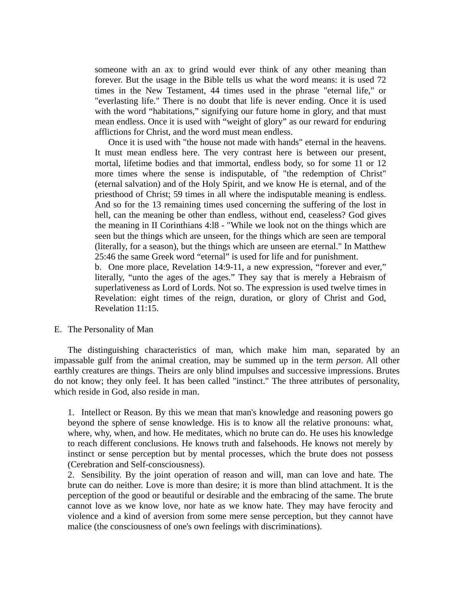someone with an ax to grind would ever think of any other meaning than forever. But the usage in the Bible tells us what the word means: it is used 72 times in the New Testament, 44 times used in the phrase "eternal life," or "everlasting life." There is no doubt that life is never ending. Once it is used with the word "habitations," signifying our future home in glory, and that must mean endless. Once it is used with "weight of glory" as our reward for enduring afflictions for Christ, and the word must mean endless.

 Once it is used with "the house not made with hands" eternal in the heavens. It must mean endless here. The very contrast here is between our present, mortal, lifetime bodies and that immortal, endless body, so for some 11 or 12 more times where the sense is indisputable, of "the redemption of Christ" (eternal salvation) and of the Holy Spirit, and we know He is eternal, and of the priesthood of Christ; 59 times in all where the indisputable meaning is endless. And so for the 13 remaining times used concerning the suffering of the lost in hell, can the meaning be other than endless, without end, ceaseless? God gives the meaning in II Corinthians 4:l8 - "While we look not on the things which are seen but the things which are unseen, for the things which are seen are temporal (literally, for a season), but the things which are unseen are eternal." In Matthew 25:46 the same Greek word "eternal" is used for life and for punishment.

b. One more place, Revelation 14:9-11, a new expression, "forever and ever," literally, "unto the ages of the ages." They say that is merely a Hebraism of superlativeness as Lord of Lords. Not so. The expression is used twelve times in Revelation: eight times of the reign, duration, or glory of Christ and God, Revelation 11:15.

#### E. The Personality of Man

 The distinguishing characteristics of man, which make him man, separated by an impassable gulf from the animal creation, may be summed up in the term *person*. All other earthly creatures are things. Theirs are only blind impulses and successive impressions. Brutes do not know; they only feel. It has been called "instinct." The three attributes of personality, which reside in God, also reside in man.

1. Intellect or Reason. By this we mean that man's knowledge and reasoning powers go beyond the sphere of sense knowledge. His is to know all the relative pronouns: what, where, why, when, and how. He meditates, which no brute can do. He uses his knowledge to reach different conclusions. He knows truth and falsehoods. He knows not merely by instinct or sense perception but by mental processes, which the brute does not possess (Cerebration and Self-consciousness).

2. Sensibility. By the joint operation of reason and will, man can love and hate. The brute can do neither. Love is more than desire; it is more than blind attachment. It is the perception of the good or beautiful or desirable and the embracing of the same. The brute cannot love as we know love, nor hate as we know hate. They may have ferocity and violence and a kind of aversion from some mere sense perception, but they cannot have malice (the consciousness of one's own feelings with discriminations).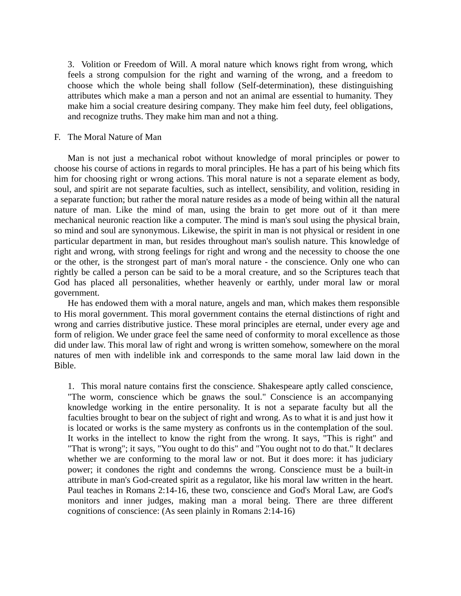3. Volition or Freedom of Will. A moral nature which knows right from wrong, which feels a strong compulsion for the right and warning of the wrong, and a freedom to choose which the whole being shall follow (Self-determination), these distinguishing attributes which make a man a person and not an animal are essential to humanity. They make him a social creature desiring company. They make him feel duty, feel obligations, and recognize truths. They make him man and not a thing.

## F. The Moral Nature of Man

 Man is not just a mechanical robot without knowledge of moral principles or power to choose his course of actions in regards to moral principles. He has a part of his being which fits him for choosing right or wrong actions. This moral nature is not a separate element as body, soul, and spirit are not separate faculties, such as intellect, sensibility, and volition, residing in a separate function; but rather the moral nature resides as a mode of being within all the natural nature of man. Like the mind of man, using the brain to get more out of it than mere mechanical neuronic reaction like a computer. The mind is man's soul using the physical brain, so mind and soul are synonymous. Likewise, the spirit in man is not physical or resident in one particular department in man, but resides throughout man's soulish nature. This knowledge of right and wrong, with strong feelings for right and wrong and the necessity to choose the one or the other, is the strongest part of man's moral nature - the conscience. Only one who can rightly be called a person can be said to be a moral creature, and so the Scriptures teach that God has placed all personalities, whether heavenly or earthly, under moral law or moral government.

 He has endowed them with a moral nature, angels and man, which makes them responsible to His moral government. This moral government contains the eternal distinctions of right and wrong and carries distributive justice. These moral principles are eternal, under every age and form of religion. We under grace feel the same need of conformity to moral excellence as those did under law. This moral law of right and wrong is written somehow, somewhere on the moral natures of men with indelible ink and corresponds to the same moral law laid down in the Bible.

1. This moral nature contains first the conscience. Shakespeare aptly called conscience, "The worm, conscience which be gnaws the soul." Conscience is an accompanying knowledge working in the entire personality. It is not a separate faculty but all the faculties brought to bear on the subject of right and wrong. As to what it is and just how it is located or works is the same mystery as confronts us in the contemplation of the soul. It works in the intellect to know the right from the wrong. It says, "This is right" and "That is wrong"; it says, "You ought to do this" and "You ought not to do that." It declares whether we are conforming to the moral law or not. But it does more: it has judiciary power; it condones the right and condemns the wrong. Conscience must be a built-in attribute in man's God-created spirit as a regulator, like his moral law written in the heart. Paul teaches in Romans 2:14-16, these two, conscience and God's Moral Law, are God's monitors and inner judges, making man a moral being. There are three different cognitions of conscience: (As seen plainly in Romans 2:14-16)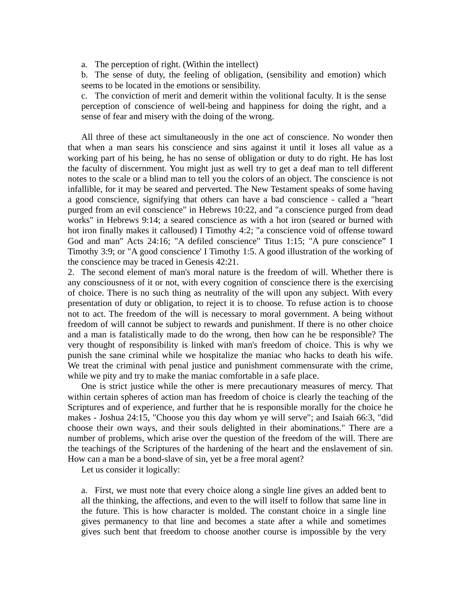a. The perception of right. (Within the intellect)

b. The sense of duty, the feeling of obligation, (sensibility and emotion) which seems to be located in the emotions or sensibility.

c. The conviction of merit and demerit within the volitional faculty. It is the sense perception of conscience of well-being and happiness for doing the right, and a sense of fear and misery with the doing of the wrong.

 All three of these act simultaneously in the one act of conscience. No wonder then that when a man sears his conscience and sins against it until it loses all value as a working part of his being, he has no sense of obligation or duty to do right. He has lost the faculty of discernment. You might just as well try to get a deaf man to tell different notes to the scale or a blind man to tell you the colors of an object. The conscience is not infallible, for it may be seared and perverted. The New Testament speaks of some having a good conscience, signifying that others can have a bad conscience - called a "heart purged from an evil conscience" in Hebrews 10:22, and "a conscience purged from dead works" in Hebrews 9:14; a seared conscience as with a hot iron (seared or burned with hot iron finally makes it calloused) I Timothy 4:2; "a conscience void of offense toward God and man" Acts 24:16; "A defiled conscience" Titus 1:15; "A pure conscience" I Timothy 3:9; or "A good conscience' I Timothy 1:5. A good illustration of the working of the conscience may be traced in Genesis 42:21.

2. The second element of man's moral nature is the freedom of will. Whether there is any consciousness of it or not, with every cognition of conscience there is the exercising of choice. There is no such thing as neutrality of the will upon any subject. With every presentation of duty or obligation, to reject it is to choose. To refuse action is to choose not to act. The freedom of the will is necessary to moral government. A being without freedom of will cannot be subject to rewards and punishment. If there is no other choice and a man is fatalistically made to do the wrong, then how can he be responsible? The very thought of responsibility is linked with man's freedom of choice. This is why we punish the sane criminal while we hospitalize the maniac who hacks to death his wife. We treat the criminal with penal justice and punishment commensurate with the crime, while we pity and try to make the maniac comfortable in a safe place.

 One is strict justice while the other is mere precautionary measures of mercy. That within certain spheres of action man has freedom of choice is clearly the teaching of the Scriptures and of experience, and further that he is responsible morally for the choice he makes - Joshua 24:15, "Choose you this day whom ye will serve"; and Isaiah 66:3, "did choose their own ways, and their souls delighted in their abominations." There are a number of problems, which arise over the question of the freedom of the will. There are the teachings of the Scriptures of the hardening of the heart and the enslavement of sin. How can a man be a bond-slave of sin, yet be a free moral agent?

Let us consider it logically:

a. First, we must note that every choice along a single line gives an added bent to all the thinking, the affections, and even to the will itself to follow that same line in the future. This is how character is molded. The constant choice in a single line gives permanency to that line and becomes a state after a while and sometimes gives such bent that freedom to choose another course is impossible by the very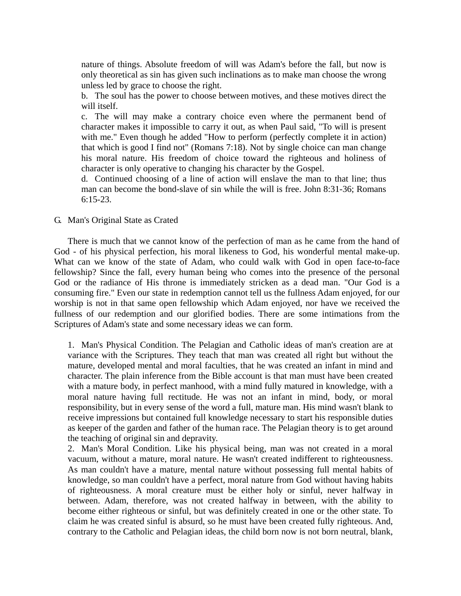nature of things. Absolute freedom of will was Adam's before the fall, but now is only theoretical as sin has given such inclinations as to make man choose the wrong unless led by grace to choose the right.

b. The soul has the power to choose between motives, and these motives direct the will itself.

c. The will may make a contrary choice even where the permanent bend of character makes it impossible to carry it out, as when Paul said, "To will is present with me." Even though he added "How to perform (perfectly complete it in action) that which is good I find not" (Romans 7:18). Not by single choice can man change his moral nature. His freedom of choice toward the righteous and holiness of character is only operative to changing his character by the Gospel.

d. Continued choosing of a line of action will enslave the man to that line; thus man can become the bond-slave of sin while the will is free. John 8:31-36; Romans 6:15-23.

G. Man's Original State as Crated

 There is much that we cannot know of the perfection of man as he came from the hand of God - of his physical perfection, his moral likeness to God, his wonderful mental make-up. What can we know of the state of Adam, who could walk with God in open face-to-face fellowship? Since the fall, every human being who comes into the presence of the personal God or the radiance of His throne is immediately stricken as a dead man. "Our God is a consuming fire." Even our state in redemption cannot tell us the fullness Adam enjoyed, for our worship is not in that same open fellowship which Adam enjoyed, nor have we received the fullness of our redemption and our glorified bodies. There are some intimations from the Scriptures of Adam's state and some necessary ideas we can form.

1. Man's Physical Condition. The Pelagian and Catholic ideas of man's creation are at variance with the Scriptures. They teach that man was created all right but without the mature, developed mental and moral faculties, that he was created an infant in mind and character. The plain inference from the Bible account is that man must have been created with a mature body, in perfect manhood, with a mind fully matured in knowledge, with a moral nature having full rectitude. He was not an infant in mind, body, or moral responsibility, but in every sense of the word a full, mature man. His mind wasn't blank to receive impressions but contained full knowledge necessary to start his responsible duties as keeper of the garden and father of the human race. The Pelagian theory is to get around the teaching of original sin and depravity.

2. Man's Moral Condition. Like his physical being, man was not created in a moral vacuum, without a mature, moral nature. He wasn't created indifferent to righteousness. As man couldn't have a mature, mental nature without possessing full mental habits of knowledge, so man couldn't have a perfect, moral nature from God without having habits of righteousness. A moral creature must be either holy or sinful, never halfway in between. Adam, therefore, was not created halfway in between, with the ability to become either righteous or sinful, but was definitely created in one or the other state. To claim he was created sinful is absurd, so he must have been created fully righteous. And, contrary to the Catholic and Pelagian ideas, the child born now is not born neutral, blank,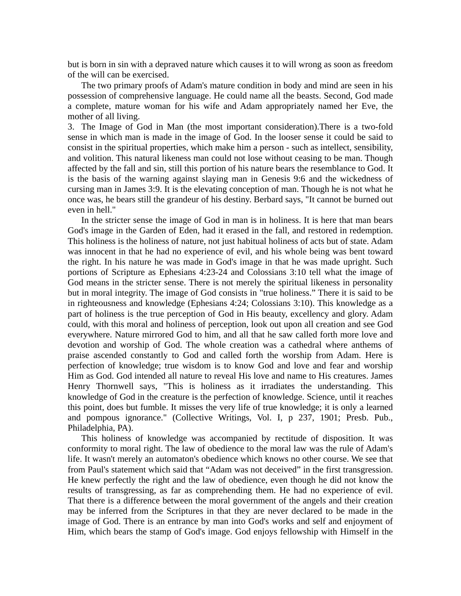but is born in sin with a depraved nature which causes it to will wrong as soon as freedom of the will can be exercised.

 The two primary proofs of Adam's mature condition in body and mind are seen in his possession of comprehensive language. He could name all the beasts. Second, God made a complete, mature woman for his wife and Adam appropriately named her Eve, the mother of all living.

3. The Image of God in Man (the most important consideration).There is a two-fold sense in which man is made in the image of God. In the looser sense it could be said to consist in the spiritual properties, which make him a person - such as intellect, sensibility, and volition. This natural likeness man could not lose without ceasing to be man. Though affected by the fall and sin, still this portion of his nature bears the resemblance to God. It is the basis of the warning against slaying man in Genesis 9:6 and the wickedness of cursing man in James 3:9. It is the elevating conception of man. Though he is not what he once was, he bears still the grandeur of his destiny. Berbard says, "It cannot be burned out even in hell."

 In the stricter sense the image of God in man is in holiness. It is here that man bears God's image in the Garden of Eden, had it erased in the fall, and restored in redemption. This holiness is the holiness of nature, not just habitual holiness of acts but of state. Adam was innocent in that he had no experience of evil, and his whole being was bent toward the right. In his nature he was made in God's image in that he was made upright. Such portions of Scripture as Ephesians 4:23-24 and Colossians 3:10 tell what the image of God means in the stricter sense. There is not merely the spiritual likeness in personality but in moral integrity. The image of God consists in "true holiness." There it is said to be in righteousness and knowledge (Ephesians 4:24; Colossians 3:10). This knowledge as a part of holiness is the true perception of God in His beauty, excellency and glory. Adam could, with this moral and holiness of perception, look out upon all creation and see God everywhere. Nature mirrored God to him, and all that he saw called forth more love and devotion and worship of God. The whole creation was a cathedral where anthems of praise ascended constantly to God and called forth the worship from Adam. Here is perfection of knowledge; true wisdom is to know God and love and fear and worship Him as God. God intended all nature to reveal His love and name to His creatures. James Henry Thornwell says, "This is holiness as it irradiates the understanding. This knowledge of God in the creature is the perfection of knowledge. Science, until it reaches this point, does but fumble. It misses the very life of true knowledge; it is only a learned and pompous ignorance." (Collective Writings, Vol. I, p 237, 1901; Presb. Pub., Philadelphia, PA).

 This holiness of knowledge was accompanied by rectitude of disposition. It was conformity to moral right. The law of obedience to the moral law was the rule of Adam's life. It wasn't merely an automaton's obedience which knows no other course. We see that from Paul's statement which said that "Adam was not deceived" in the first transgression. He knew perfectly the right and the law of obedience, even though he did not know the results of transgressing, as far as comprehending them. He had no experience of evil. That there is a difference between the moral government of the angels and their creation may be inferred from the Scriptures in that they are never declared to be made in the image of God. There is an entrance by man into God's works and self and enjoyment of Him, which bears the stamp of God's image. God enjoys fellowship with Himself in the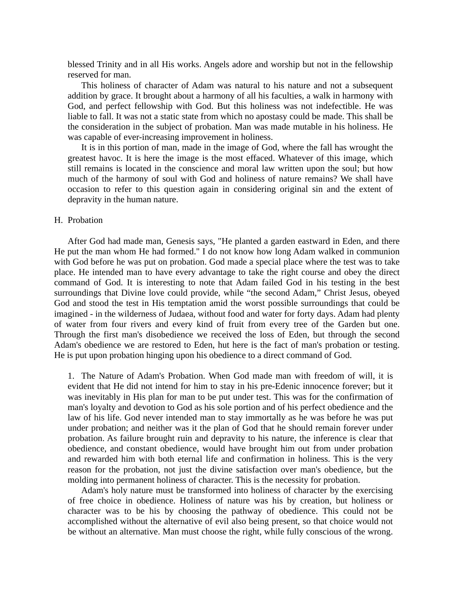blessed Trinity and in all His works. Angels adore and worship but not in the fellowship reserved for man.

 This holiness of character of Adam was natural to his nature and not a subsequent addition by grace. It brought about a harmony of all his faculties, a walk in harmony with God, and perfect fellowship with God. But this holiness was not indefectible. He was liable to fall. It was not a static state from which no apostasy could be made. This shall be the consideration in the subject of probation. Man was made mutable in his holiness. He was capable of ever-increasing improvement in holiness.

 It is in this portion of man, made in the image of God, where the fall has wrought the greatest havoc. It is here the image is the most effaced. Whatever of this image, which still remains is located in the conscience and moral law written upon the soul; but how much of the harmony of soul with God and holiness of nature remains? We shall have occasion to refer to this question again in considering original sin and the extent of depravity in the human nature.

## H. Probation

 After God had made man, Genesis says, "He planted a garden eastward in Eden, and there He put the man whom He had formed." I do not know how long Adam walked in communion with God before he was put on probation. God made a special place where the test was to take place. He intended man to have every advantage to take the right course and obey the direct command of God. It is interesting to note that Adam failed God in his testing in the best surroundings that Divine love could provide, while "the second Adam," Christ Jesus, obeyed God and stood the test in His temptation amid the worst possible surroundings that could be imagined - in the wilderness of Judaea, without food and water for forty days. Adam had plenty of water from four rivers and every kind of fruit from every tree of the Garden but one. Through the first man's disobedience we received the loss of Eden, but through the second Adam's obedience we are restored to Eden, hut here is the fact of man's probation or testing. He is put upon probation hinging upon his obedience to a direct command of God.

1. The Nature of Adam's Probation. When God made man with freedom of will, it is evident that He did not intend for him to stay in his pre-Edenic innocence forever; but it was inevitably in His plan for man to be put under test. This was for the confirmation of man's loyalty and devotion to God as his sole portion and of his perfect obedience and the law of his life. God never intended man to stay immortally as he was before he was put under probation; and neither was it the plan of God that he should remain forever under probation. As failure brought ruin and depravity to his nature, the inference is clear that obedience, and constant obedience, would have brought him out from under probation and rewarded him with both eternal life and confirmation in holiness. This is the very reason for the probation, not just the divine satisfaction over man's obedience, but the molding into permanent holiness of character. This is the necessity for probation.

 Adam's holy nature must be transformed into holiness of character by the exercising of free choice in obedience. Holiness of nature was his by creation, but holiness or character was to be his by choosing the pathway of obedience. This could not be accomplished without the alternative of evil also being present, so that choice would not be without an alternative. Man must choose the right, while fully conscious of the wrong.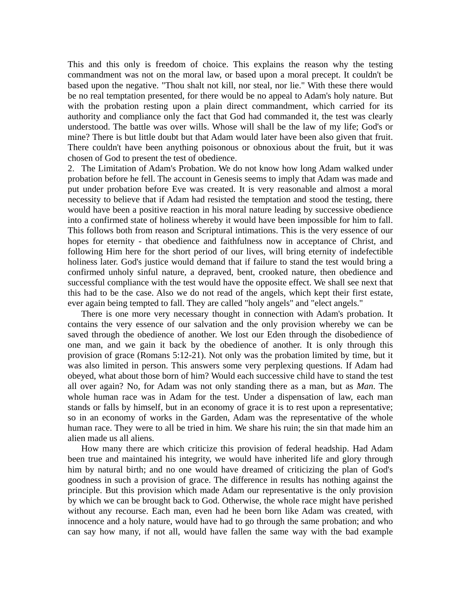This and this only is freedom of choice. This explains the reason why the testing commandment was not on the moral law, or based upon a moral precept. It couldn't be based upon the negative. "Thou shalt not kill, nor steal, nor lie." With these there would be no real temptation presented, for there would be no appeal to Adam's holy nature. But with the probation resting upon a plain direct commandment, which carried for its authority and compliance only the fact that God had commanded it, the test was clearly understood. The battle was over wills. Whose will shall be the law of my life; God's or mine? There is but little doubt but that Adam would later have been also given that fruit. There couldn't have been anything poisonous or obnoxious about the fruit, but it was chosen of God to present the test of obedience.

2. The Limitation of Adam's Probation. We do not know how long Adam walked under probation before he fell. The account in Genesis seems to imply that Adam was made and put under probation before Eve was created. It is very reasonable and almost a moral necessity to believe that if Adam had resisted the temptation and stood the testing, there would have been a positive reaction in his moral nature leading by successive obedience into a confirmed state of holiness whereby it would have been impossible for him to fall. This follows both from reason and Scriptural intimations. This is the very essence of our hopes for eternity - that obedience and faithfulness now in acceptance of Christ, and following Him here for the short period of our lives, will bring eternity of indefectible holiness later. God's justice would demand that if failure to stand the test would bring a confirmed unholy sinful nature, a depraved, bent, crooked nature, then obedience and successful compliance with the test would have the opposite effect. We shall see next that this had to be the case. Also we do not read of the angels, which kept their first estate, ever again being tempted to fall. They are called "holy angels" and "elect angels."

 There is one more very necessary thought in connection with Adam's probation. It contains the very essence of our salvation and the only provision whereby we can be saved through the obedience of another. We lost our Eden through the disobedience of one man, and we gain it back by the obedience of another. It is only through this provision of grace (Romans 5:12-21). Not only was the probation limited by time, but it was also limited in person. This answers some very perplexing questions. If Adam had obeyed, what about those born of him? Would each successive child have to stand the test all over again? No, for Adam was not only standing there as a man, but as *Man*. The whole human race was in Adam for the test. Under a dispensation of law, each man stands or falls by himself, but in an economy of grace it is to rest upon a representative; so in an economy of works in the Garden, Adam was the representative of the whole human race. They were to all be tried in him. We share his ruin; the sin that made him an alien made us all aliens.

 How many there are which criticize this provision of federal headship. Had Adam been true and maintained his integrity, we would have inherited life and glory through him by natural birth; and no one would have dreamed of criticizing the plan of God's goodness in such a provision of grace. The difference in results has nothing against the principle. But this provision which made Adam our representative is the only provision by which we can be brought back to God. Otherwise, the whole race might have perished without any recourse. Each man, even had he been born like Adam was created, with innocence and a holy nature, would have had to go through the same probation; and who can say how many, if not all, would have fallen the same way with the bad example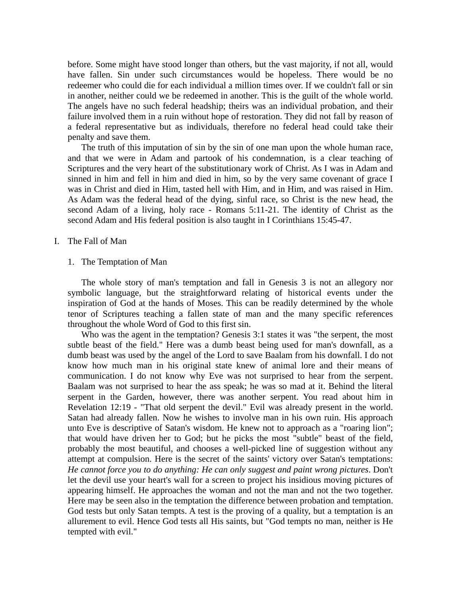before. Some might have stood longer than others, but the vast majority, if not all, would have fallen. Sin under such circumstances would be hopeless. There would be no redeemer who could die for each individual a million times over. If we couldn't fall or sin in another, neither could we be redeemed in another. This is the guilt of the whole world. The angels have no such federal headship; theirs was an individual probation, and their failure involved them in a ruin without hope of restoration. They did not fall by reason of a federal representative but as individuals, therefore no federal head could take their penalty and save them.

 The truth of this imputation of sin by the sin of one man upon the whole human race, and that we were in Adam and partook of his condemnation, is a clear teaching of Scriptures and the very heart of the substitutionary work of Christ. As I was in Adam and sinned in him and fell in him and died in him, so by the very same covenant of grace I was in Christ and died in Him, tasted hell with Him, and in Him, and was raised in Him. As Adam was the federal head of the dying, sinful race, so Christ is the new head, the second Adam of a living, holy race - Romans 5:11-21. The identity of Christ as the second Adam and His federal position is also taught in I Corinthians 15:45-47.

## I. The Fall of Man

## 1. The Temptation of Man

 The whole story of man's temptation and fall in Genesis 3 is not an allegory nor symbolic language, but the straightforward relating of historical events under the inspiration of God at the hands of Moses. This can be readily determined by the whole tenor of Scriptures teaching a fallen state of man and the many specific references throughout the whole Word of God to this first sin.

 Who was the agent in the temptation? Genesis 3:1 states it was "the serpent, the most subtle beast of the field." Here was a dumb beast being used for man's downfall, as a dumb beast was used by the angel of the Lord to save Baalam from his downfall. I do not know how much man in his original state knew of animal lore and their means of communication. I do not know why Eve was not surprised to hear from the serpent. Baalam was not surprised to hear the ass speak; he was so mad at it. Behind the literal serpent in the Garden, however, there was another serpent. You read about him in Revelation 12:19 - "That old serpent the devil." Evil was already present in the world. Satan had already fallen. Now he wishes to involve man in his own ruin. His approach unto Eve is descriptive of Satan's wisdom. He knew not to approach as a "roaring lion"; that would have driven her to God; but he picks the most "subtle" beast of the field, probably the most beautiful, and chooses a well-picked line of suggestion without any attempt at compulsion. Here is the secret of the saints' victory over Satan's temptations: *He cannot force you to do anything: He can only suggest and paint wrong pictures*. Don't let the devil use your heart's wall for a screen to project his insidious moving pictures of appearing himself. He approaches the woman and not the man and not the two together. Here may be seen also in the temptation the difference between probation and temptation. God tests but only Satan tempts. A test is the proving of a quality, but a temptation is an allurement to evil. Hence God tests all His saints, but "God tempts no man, neither is He tempted with evil."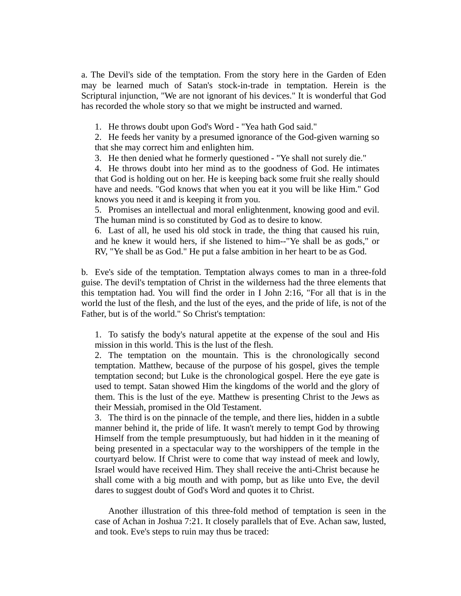a. The Devil's side of the temptation. From the story here in the Garden of Eden may be learned much of Satan's stock-in-trade in temptation. Herein is the Scriptural injunction, "We are not ignorant of his devices." It is wonderful that God has recorded the whole story so that we might be instructed and warned.

1. He throws doubt upon God's Word - "Yea hath God said."

2. He feeds her vanity by a presumed ignorance of the God-given warning so that she may correct him and enlighten him.

3. He then denied what he formerly questioned - "Ye shall not surely die."

4. He throws doubt into her mind as to the goodness of God. He intimates that God is holding out on her. He is keeping back some fruit she really should have and needs. "God knows that when you eat it you will be like Him." God knows you need it and is keeping it from you.

5. Promises an intellectual and moral enlightenment, knowing good and evil. The human mind is so constituted by God as to desire to know.

6. Last of all, he used his old stock in trade, the thing that caused his ruin, and he knew it would hers, if she listened to him--"Ye shall be as gods," or RV, "Ye shall be as God." He put a false ambition in her heart to be as God.

b. Eve's side of the temptation. Temptation always comes to man in a three-fold guise. The devil's temptation of Christ in the wilderness had the three elements that this temptation had. You will find the order in I John 2:16, "For all that is in the world the lust of the flesh, and the lust of the eyes, and the pride of life, is not of the Father, but is of the world." So Christ's temptation:

1. To satisfy the body's natural appetite at the expense of the soul and His mission in this world. This is the lust of the flesh.

2. The temptation on the mountain. This is the chronologically second temptation. Matthew, because of the purpose of his gospel, gives the temple temptation second; but Luke is the chronological gospel. Here the eye gate is used to tempt. Satan showed Him the kingdoms of the world and the glory of them. This is the lust of the eye. Matthew is presenting Christ to the Jews as their Messiah, promised in the Old Testament.

3. The third is on the pinnacle of the temple, and there lies, hidden in a subtle manner behind it, the pride of life. It wasn't merely to tempt God by throwing Himself from the temple presumptuously, but had hidden in it the meaning of being presented in a spectacular way to the worshippers of the temple in the courtyard below. If Christ were to come that way instead of meek and lowly, Israel would have received Him. They shall receive the anti-Christ because he shall come with a big mouth and with pomp, but as like unto Eve, the devil dares to suggest doubt of God's Word and quotes it to Christ.

 Another illustration of this three-fold method of temptation is seen in the case of Achan in Joshua 7:21. It closely parallels that of Eve. Achan saw, lusted, and took. Eve's steps to ruin may thus be traced: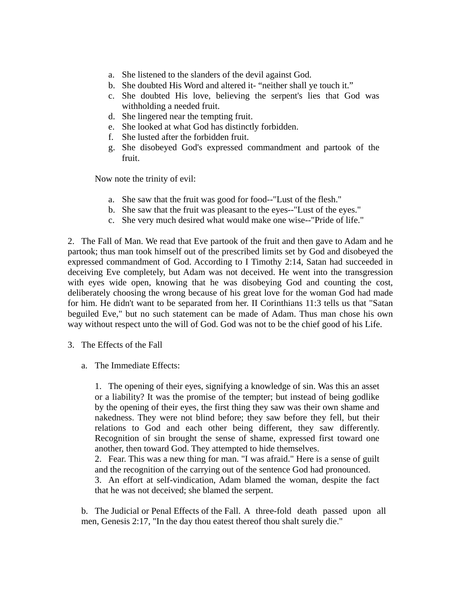- a. She listened to the slanders of the devil against God.
- b. She doubted His Word and altered it- "neither shall ye touch it."
- c. She doubted His love, believing the serpent's lies that God was withholding a needed fruit.
- d. She lingered near the tempting fruit.
- e. She looked at what God has distinctly forbidden.
- f. She lusted after the forbidden fruit.
- g. She disobeyed God's expressed commandment and partook of the fruit.

Now note the trinity of evil:

- a. She saw that the fruit was good for food--"Lust of the flesh."
- b. She saw that the fruit was pleasant to the eyes--"Lust of the eyes."
- c. She very much desired what would make one wise--"Pride of life."

2. The Fall of Man. We read that Eve partook of the fruit and then gave to Adam and he partook; thus man took himself out of the prescribed limits set by God and disobeyed the expressed commandment of God. According to I Timothy 2:14, Satan had succeeded in deceiving Eve completely, but Adam was not deceived. He went into the transgression with eyes wide open, knowing that he was disobeying God and counting the cost, deliberately choosing the wrong because of his great love for the woman God had made for him. He didn't want to be separated from her. II Corinthians 11:3 tells us that "Satan beguiled Eve," but no such statement can be made of Adam. Thus man chose his own way without respect unto the will of God. God was not to be the chief good of his Life.

- 3. The Effects of the Fall
	- a. The Immediate Effects:

1. The opening of their eyes, signifying a knowledge of sin. Was this an asset or a liability? It was the promise of the tempter; but instead of being godlike by the opening of their eyes, the first thing they saw was their own shame and nakedness. They were not blind before; they saw before they fell, but their relations to God and each other being different, they saw differently. Recognition of sin brought the sense of shame, expressed first toward one another, then toward God. They attempted to hide themselves.

2. Fear. This was a new thing for man. "I was afraid." Here is a sense of guilt and the recognition of the carrying out of the sentence God had pronounced.

3. An effort at self-vindication, Adam blamed the woman, despite the fact that he was not deceived; she blamed the serpent.

b. The Judicial or Penal Effects of the Fall. A three-fold death passed upon all men, Genesis 2:17, "In the day thou eatest thereof thou shalt surely die."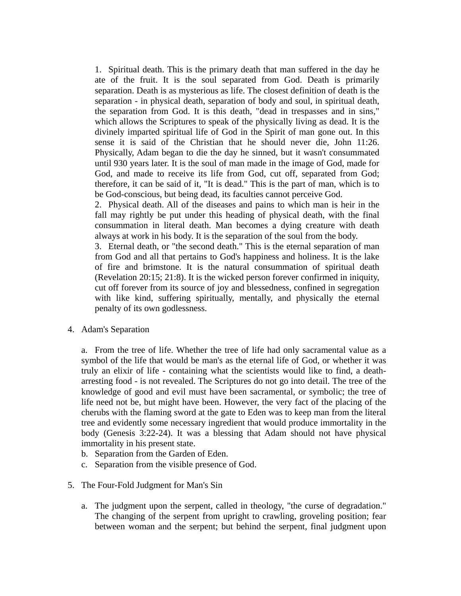1. Spiritual death. This is the primary death that man suffered in the day he ate of the fruit. It is the soul separated from God. Death is primarily separation. Death is as mysterious as life. The closest definition of death is the separation - in physical death, separation of body and soul, in spiritual death, the separation from God. It is this death, "dead in trespasses and in sins," which allows the Scriptures to speak of the physically living as dead. It is the divinely imparted spiritual life of God in the Spirit of man gone out. In this sense it is said of the Christian that he should never die, John 11:26. Physically, Adam began to die the day he sinned, but it wasn't consummated until 930 years later. It is the soul of man made in the image of God, made for God, and made to receive its life from God, cut off, separated from God; therefore, it can be said of it, "It is dead." This is the part of man, which is to be God-conscious, but being dead, its faculties cannot perceive God.

2. Physical death. All of the diseases and pains to which man is heir in the fall may rightly be put under this heading of physical death, with the final consummation in literal death. Man becomes a dying creature with death always at work in his body. It is the separation of the soul from the body.

3. Eternal death, or "the second death." This is the eternal separation of man from God and all that pertains to God's happiness and holiness. It is the lake of fire and brimstone. It is the natural consummation of spiritual death (Revelation 20:15; 21:8). It is the wicked person forever confirmed in iniquity, cut off forever from its source of joy and blessedness, confined in segregation with like kind, suffering spiritually, mentally, and physically the eternal penalty of its own godlessness.

4. Adam's Separation

a. From the tree of life. Whether the tree of life had only sacramental value as a symbol of the life that would be man's as the eternal life of God, or whether it was truly an elixir of life - containing what the scientists would like to find, a deatharresting food - is not revealed. The Scriptures do not go into detail. The tree of the knowledge of good and evil must have been sacramental, or symbolic; the tree of life need not be, but might have been. However, the very fact of the placing of the cherubs with the flaming sword at the gate to Eden was to keep man from the literal tree and evidently some necessary ingredient that would produce immortality in the body (Genesis 3:22-24). It was a blessing that Adam should not have physical immortality in his present state.

- b. Separation from the Garden of Eden.
- c. Separation from the visible presence of God.
- 5. The Four-Fold Judgment for Man's Sin
	- a. The judgment upon the serpent, called in theology, "the curse of degradation." The changing of the serpent from upright to crawling, groveling position; fear between woman and the serpent; but behind the serpent, final judgment upon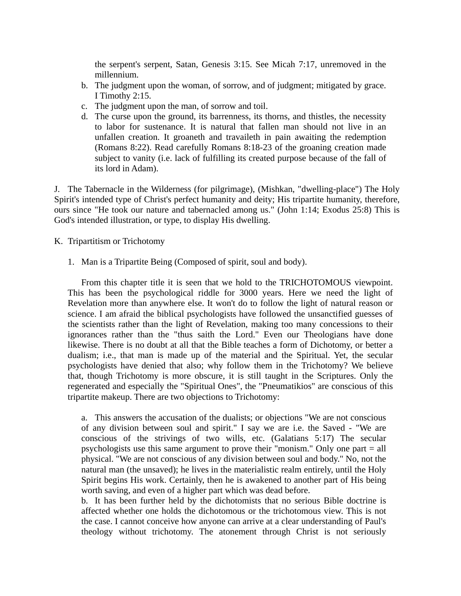the serpent's serpent, Satan, Genesis 3:15. See Micah 7:17, unremoved in the millennium.

- b. The judgment upon the woman, of sorrow, and of judgment; mitigated by grace. I Timothy 2:15.
- c. The judgment upon the man, of sorrow and toil.
- d. The curse upon the ground, its barrenness, its thorns, and thistles, the necessity to labor for sustenance. It is natural that fallen man should not live in an unfallen creation. It groaneth and travaileth in pain awaiting the redemption (Romans 8:22). Read carefully Romans 8:18-23 of the groaning creation made subject to vanity (i.e. lack of fulfilling its created purpose because of the fall of its lord in Adam).

J. The Tabernacle in the Wilderness (for pilgrimage), (Mishkan, "dwelling-place") The Holy Spirit's intended type of Christ's perfect humanity and deity; His tripartite humanity, therefore, ours since "He took our nature and tabernacled among us." (John 1:14; Exodus 25:8) This is God's intended illustration, or type, to display His dwelling.

- K. Tripartitism or Trichotomy
	- 1. Man is a Tripartite Being (Composed of spirit, soul and body).

 From this chapter title it is seen that we hold to the TRICHOTOMOUS viewpoint. This has been the psychological riddle for 3000 years. Here we need the light of Revelation more than anywhere else. It won't do to follow the light of natural reason or science. I am afraid the biblical psychologists have followed the unsanctified guesses of the scientists rather than the light of Revelation, making too many concessions to their ignorances rather than the "thus saith the Lord." Even our Theologians have done likewise. There is no doubt at all that the Bible teaches a form of Dichotomy, or better a dualism; i.e., that man is made up of the material and the Spiritual. Yet, the secular psychologists have denied that also; why follow them in the Trichotomy? We believe that, though Trichotomy is more obscure, it is still taught in the Scriptures. Only the regenerated and especially the "Spiritual Ones", the "Pneumatikios" are conscious of this tripartite makeup. There are two objections to Trichotomy:

a. This answers the accusation of the dualists; or objections "We are not conscious of any division between soul and spirit." I say we are i.e. the Saved - "We are conscious of the strivings of two wills, etc. (Galatians 5:17) The secular psychologists use this same argument to prove their "monism." Only one part = all physical. "We are not conscious of any division between soul and body." No, not the natural man (the unsaved); he lives in the materialistic realm entirely, until the Holy Spirit begins His work. Certainly, then he is awakened to another part of His being worth saving, and even of a higher part which was dead before.

b. It has been further held by the dichotomists that no serious Bible doctrine is affected whether one holds the dichotomous or the trichotomous view. This is not the case. I cannot conceive how anyone can arrive at a clear understanding of Paul's theology without trichotomy. The atonement through Christ is not seriously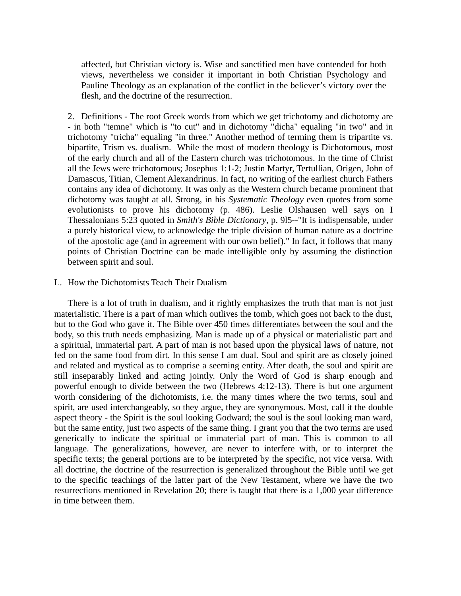affected, but Christian victory is. Wise and sanctified men have contended for both views, nevertheless we consider it important in both Christian Psychology and Pauline Theology as an explanation of the conflict in the believer's victory over the flesh, and the doctrine of the resurrection.

2. Definitions - The root Greek words from which we get trichotomy and dichotomy are - in both "temne" which is "to cut" and in dichotomy "dicha" equaling "in two" and in trichotomy "tricha" equaling "in three." Another method of terming them is tripartite vs. bipartite, Trism vs. dualism. While the most of modern theology is Dichotomous, most of the early church and all of the Eastern church was trichotomous. In the time of Christ all the Jews were trichotomous; Josephus 1:1-2; Justin Martyr, Tertullian, Origen, John of Damascus, Titian, Clement Alexandrinus. In fact, no writing of the earliest church Fathers contains any idea of dichotomy. It was only as the Western church became prominent that dichotomy was taught at all. Strong, in his *Systematic Theology* even quotes from some evolutionists to prove his dichotomy (p. 486). Leslie Olshausen well says on I Thessalonians 5:23 quoted in *Smith's Bible Dictionary*, p. 9l5--"It is indispensable, under a purely historical view, to acknowledge the triple division of human nature as a doctrine of the apostolic age (and in agreement with our own belief)." In fact, it follows that many points of Christian Doctrine can be made intelligible only by assuming the distinction between spirit and soul.

## L. How the Dichotomists Teach Their Dualism

 There is a lot of truth in dualism, and it rightly emphasizes the truth that man is not just materialistic. There is a part of man which outlives the tomb, which goes not back to the dust, but to the God who gave it. The Bible over 450 times differentiates between the soul and the body, so this truth needs emphasizing. Man is made up of a physical or materialistic part and a spiritual, immaterial part. A part of man is not based upon the physical laws of nature, not fed on the same food from dirt. In this sense I am dual. Soul and spirit are as closely joined and related and mystical as to comprise a seeming entity. After death, the soul and spirit are still inseparably linked and acting jointly. Only the Word of God is sharp enough and powerful enough to divide between the two (Hebrews 4:12-13). There is but one argument worth considering of the dichotomists, i.e. the many times where the two terms, soul and spirit, are used interchangeably, so they argue, they are synonymous. Most, call it the double aspect theory - the Spirit is the soul looking Godward; the soul is the soul looking man ward, but the same entity, just two aspects of the same thing. I grant you that the two terms are used generically to indicate the spiritual or immaterial part of man. This is common to all language. The generalizations, however, are never to interfere with, or to interpret the specific texts; the general portions are to be interpreted by the specific, not vice versa. With all doctrine, the doctrine of the resurrection is generalized throughout the Bible until we get to the specific teachings of the latter part of the New Testament, where we have the two resurrections mentioned in Revelation 20; there is taught that there is a 1,000 year difference in time between them.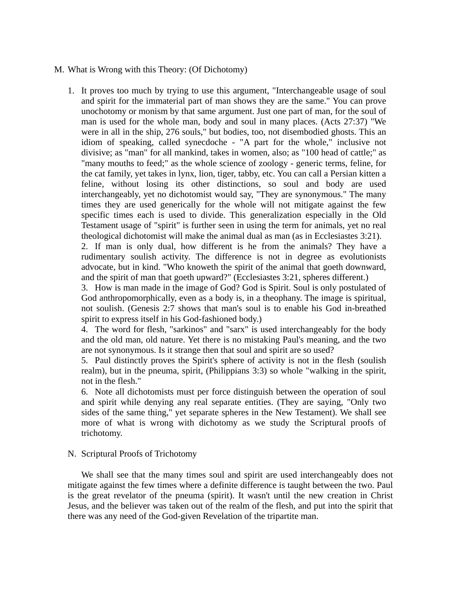## M. What is Wrong with this Theory: (Of Dichotomy)

1. It proves too much by trying to use this argument, "Interchangeable usage of soul and spirit for the immaterial part of man shows they are the same." You can prove unochotomy or monism by that same argument. Just one part of man, for the soul of man is used for the whole man, body and soul in many places. (Acts 27:37) "We were in all in the ship, 276 souls," but bodies, too, not disembodied ghosts. This an idiom of speaking, called synecdoche - "A part for the whole," inclusive not divisive; as "man" for all mankind, takes in women, also; as "100 head of cattle;" as "many mouths to feed;" as the whole science of zoology - generic terms, feline, for the cat family, yet takes in lynx, lion, tiger, tabby, etc. You can call a Persian kitten a feline, without losing its other distinctions, so soul and body are used interchangeably, yet no dichotomist would say, "They are synonymous." The many times they are used generically for the whole will not mitigate against the few specific times each is used to divide. This generalization especially in the Old Testament usage of "spirit" is further seen in using the term for animals, yet no real theological dichotomist will make the animal dual as man (as in Ecclesiastes 3:21).

2. If man is only dual, how different is he from the animals? They have a rudimentary soulish activity. The difference is not in degree as evolutionists advocate, but in kind. "Who knoweth the spirit of the animal that goeth downward, and the spirit of man that goeth upward?" (Ecclesiastes 3:21, spheres different.)

3. How is man made in the image of God? God is Spirit. Soul is only postulated of God anthropomorphically, even as a body is, in a theophany. The image is spiritual, not soulish. (Genesis 2:7 shows that man's soul is to enable his God in-breathed spirit to express itself in his God-fashioned body.)

4. The word for flesh, "sarkinos" and "sarx" is used interchangeably for the body and the old man, old nature. Yet there is no mistaking Paul's meaning, and the two are not synonymous. Is it strange then that soul and spirit are so used?

5. Paul distinctly proves the Spirit's sphere of activity is not in the flesh (soulish realm), but in the pneuma, spirit, (Philippians 3:3) so whole "walking in the spirit, not in the flesh."

6. Note all dichotomists must per force distinguish between the operation of soul and spirit while denying any real separate entities. (They are saying, "Only two sides of the same thing," yet separate spheres in the New Testament). We shall see more of what is wrong with dichotomy as we study the Scriptural proofs of trichotomy.

## N. Scriptural Proofs of Trichotomy

 We shall see that the many times soul and spirit are used interchangeably does not mitigate against the few times where a definite difference is taught between the two. Paul is the great revelator of the pneuma (spirit). It wasn't until the new creation in Christ Jesus, and the believer was taken out of the realm of the flesh, and put into the spirit that there was any need of the God-given Revelation of the tripartite man.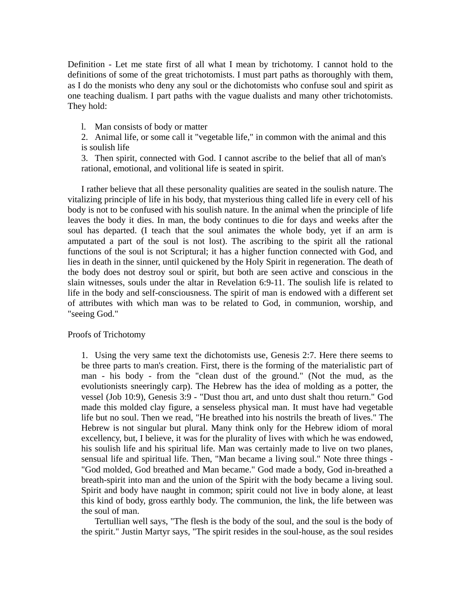Definition - Let me state first of all what I mean by trichotomy. I cannot hold to the definitions of some of the great trichotomists. I must part paths as thoroughly with them, as I do the monists who deny any soul or the dichotomists who confuse soul and spirit as one teaching dualism. I part paths with the vague dualists and many other trichotomists. They hold:

l. Man consists of body or matter

2. Animal life, or some call it "vegetable life," in common with the animal and this is soulish life

3. Then spirit, connected with God. I cannot ascribe to the belief that all of man's rational, emotional, and volitional life is seated in spirit.

 I rather believe that all these personality qualities are seated in the soulish nature. The vitalizing principle of life in his body, that mysterious thing called life in every cell of his body is not to be confused with his soulish nature. In the animal when the principle of life leaves the body it dies. In man, the body continues to die for days and weeks after the soul has departed. (I teach that the soul animates the whole body, yet if an arm is amputated a part of the soul is not lost). The ascribing to the spirit all the rational functions of the soul is not Scriptural; it has a higher function connected with God, and lies in death in the sinner, until quickened by the Holy Spirit in regeneration. The death of the body does not destroy soul or spirit, but both are seen active and conscious in the slain witnesses, souls under the altar in Revelation 6:9-11. The soulish life is related to life in the body and self-consciousness. The spirit of man is endowed with a different set of attributes with which man was to be related to God, in communion, worship, and "seeing God."

## Proofs of Trichotomy

1. Using the very same text the dichotomists use, Genesis 2:7. Here there seems to be three parts to man's creation. First, there is the forming of the materialistic part of man - his body - from the "clean dust of the ground." (Not the mud, as the evolutionists sneeringly carp). The Hebrew has the idea of molding as a potter, the vessel (Job 10:9), Genesis 3:9 - "Dust thou art, and unto dust shalt thou return." God made this molded clay figure, a senseless physical man. It must have had vegetable life but no soul. Then we read, "He breathed into his nostrils the breath of lives." The Hebrew is not singular but plural. Many think only for the Hebrew idiom of moral excellency, but, I believe, it was for the plurality of lives with which he was endowed, his soulish life and his spiritual life. Man was certainly made to live on two planes, sensual life and spiritual life. Then, "Man became a living soul." Note three things - "God molded, God breathed and Man became." God made a body, God in-breathed a breath-spirit into man and the union of the Spirit with the body became a living soul. Spirit and body have naught in common; spirit could not live in body alone, at least this kind of body, gross earthly body. The communion, the link, the life between was the soul of man.

 Tertullian well says, "The flesh is the body of the soul, and the soul is the body of the spirit." Justin Martyr says, "The spirit resides in the soul-house, as the soul resides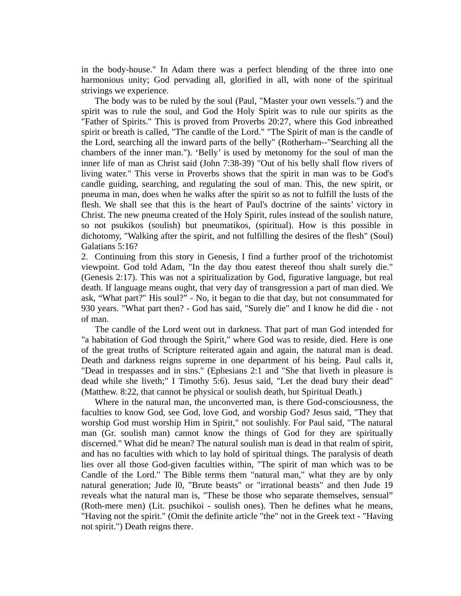in the body-house." In Adam there was a perfect blending of the three into one harmonious unity; God pervading all, glorified in all, with none of the spiritual strivings we experience.

 The body was to be ruled by the soul (Paul, "Master your own vessels.") and the spirit was to rule the soul, and God the Holy Spirit was to rule our spirits as the "Father of Spirits." This is proved from Proverbs 20:27, where this God inbreathed spirit or breath is called, "The candle of the Lord." "The Spirit of man is the candle of the Lord, searching all the inward parts of the belly" (Rotherham--"Searching all the chambers of the inner man."). 'Belly' is used by metonomy for the soul of man the inner life of man as Christ said (John 7:38-39) "Out of his belly shall flow rivers of living water." This verse in Proverbs shows that the spirit in man was to be God's candle guiding, searching, and regulating the soul of man. This, the new spirit, or pneuma in man, does when he walks after the spirit so as not to fulfill the lusts of the flesh. We shall see that this is the heart of Paul's doctrine of the saints' victory in Christ. The new pneuma created of the Holy Spirit, rules instead of the soulish nature, so not psukikos (soulish) but pneumatikos, (spiritual). How is this possible in dichotomy, "Walking after the spirit, and not fulfilling the desires of the flesh" (Soul) Galatians 5:16?

2. Continuing from this story in Genesis, I find a further proof of the trichotomist viewpoint. God told Adam, "In the day thou eatest thereof thou shalt surely die." (Genesis 2:17). This was not a spiritualization by God, figurative language, but real death. If language means ought, that very day of transgression a part of man died. We ask, "What part?" His soul?" - No, it began to die that day, but not consummated for 930 years. "What part then? - God has said, "Surely die" and I know he did die - not of man.

 The candle of the Lord went out in darkness. That part of man God intended for "a habitation of God through the Spirit," where God was to reside, died. Here is one of the great truths of Scripture reiterated again and again, the natural man is dead. Death and darkness reigns supreme in one department of his being. Paul calls it, "Dead in trespasses and in sins." (Ephesians 2:1 and "She that liveth in pleasure is dead while she liveth;" I Timothy 5:6). Jesus said, "Let the dead bury their dead" (Matthew. 8:22, that cannot be physical or soulish death, but Spiritual Death.)

 Where in the natural man, the unconverted man, is there God-consciousness, the faculties to know God, see God, love God, and worship God? Jesus said, "They that worship God must worship Him in Spirit," not soulishly. For Paul said, "The natural man (Gr. soulish man) cannot know the things of God for they are spiritually discerned." What did he mean? The natural soulish man is dead in that realm of spirit, and has no faculties with which to lay hold of spiritual things. The paralysis of death lies over all those God-given faculties within, "The spirit of man which was to be Candle of the Lord." The Bible terms them "natural man," what they are by only natural generation; Jude l0, "Brute beasts" or "irrational beasts" and then Jude 19 reveals what the natural man is, "These be those who separate themselves, sensual" (Roth-mere men) (Lit. psuchikoi - soulish ones). Then he defines what he means, "Having not the spirit." (Omit the definite article "the" not in the Greek text - "Having not spirit.") Death reigns there.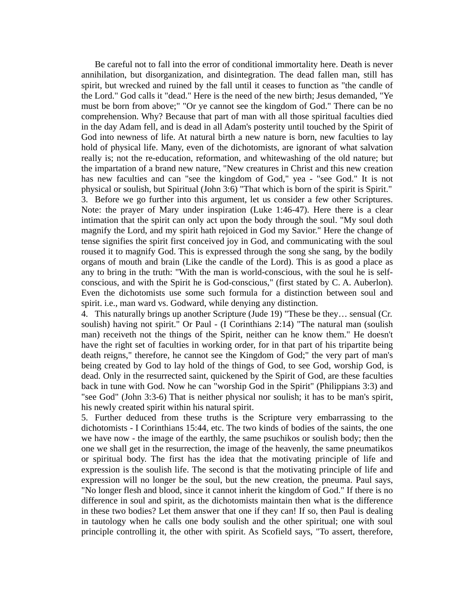Be careful not to fall into the error of conditional immortality here. Death is never annihilation, but disorganization, and disintegration. The dead fallen man, still has spirit, but wrecked and ruined by the fall until it ceases to function as "the candle of the Lord." God calls it "dead." Here is the need of the new birth; Jesus demanded, "Ye must be born from above;" "Or ye cannot see the kingdom of God." There can be no comprehension. Why? Because that part of man with all those spiritual faculties died in the day Adam fell, and is dead in all Adam's posterity until touched by the Spirit of God into newness of life. At natural birth a new nature is born, new faculties to lay hold of physical life. Many, even of the dichotomists, are ignorant of what salvation really is; not the re-education, reformation, and whitewashing of the old nature; but the impartation of a brand new nature, "New creatures in Christ and this new creation has new faculties and can "see the kingdom of God," yea - "see God." It is not physical or soulish, but Spiritual (John 3:6) "That which is born of the spirit is Spirit." 3. Before we go further into this argument, let us consider a few other Scriptures. Note: the prayer of Mary under inspiration (Luke 1:46-47). Here there is a clear intimation that the spirit can only act upon the body through the soul. "My soul doth magnify the Lord, and my spirit hath rejoiced in God my Savior." Here the change of tense signifies the spirit first conceived joy in God, and communicating with the soul roused it to magnify God. This is expressed through the song she sang, by the bodily organs of mouth and brain (Like the candle of the Lord). This is as good a place as any to bring in the truth: "With the man is world-conscious, with the soul he is selfconscious, and with the Spirit he is God-conscious," (first stated by C. A. Auberlon). Even the dichotomists use some such formula for a distinction between soul and spirit. i.e., man ward vs. Godward, while denying any distinction.

4. This naturally brings up another Scripture (Jude 19) "These be they… sensual (Cr. soulish) having not spirit." Or Paul - (I Corinthians 2:14) "The natural man (soulish man) receiveth not the things of the Spirit, neither can he know them." He doesn't have the right set of faculties in working order, for in that part of his tripartite being death reigns," therefore, he cannot see the Kingdom of God;" the very part of man's being created by God to lay hold of the things of God, to see God, worship God, is dead. Only in the resurrected saint, quickened by the Spirit of God, are these faculties back in tune with God. Now he can "worship God in the Spirit" (Philippians 3:3) and "see God" (John 3:3-6) That is neither physical nor soulish; it has to be man's spirit, his newly created spirit within his natural spirit.

5. Further deduced from these truths is the Scripture very embarrassing to the dichotomists - I Corinthians 15:44, etc. The two kinds of bodies of the saints, the one we have now - the image of the earthly, the same psuchikos or soulish body; then the one we shall get in the resurrection, the image of the heavenly, the same pneumatikos or spiritual body. The first has the idea that the motivating principle of life and expression is the soulish life. The second is that the motivating principle of life and expression will no longer be the soul, but the new creation, the pneuma. Paul says, "No longer flesh and blood, since it cannot inherit the kingdom of God." If there is no difference in soul and spirit, as the dichotomists maintain then what is the difference in these two bodies? Let them answer that one if they can! If so, then Paul is dealing in tautology when he calls one body soulish and the other spiritual; one with soul principle controlling it, the other with spirit. As Scofield says, "To assert, therefore,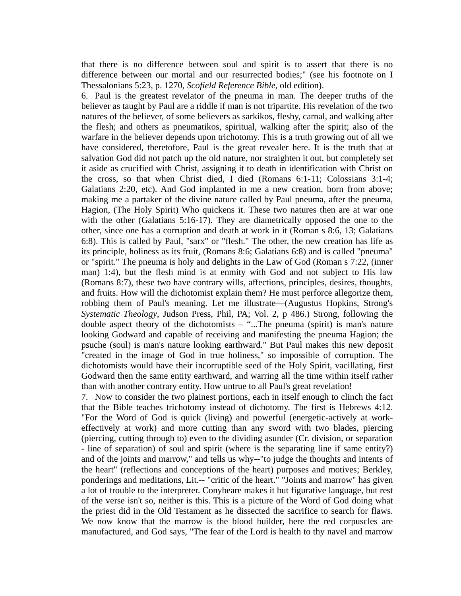that there is no difference between soul and spirit is to assert that there is no difference between our mortal and our resurrected bodies;" (see his footnote on I Thessalonians 5:23, p. 1270, *Scofield Reference Bible*, old edition).

6. Paul is the greatest revelator of the pneuma in man. The deeper truths of the believer as taught by Paul are a riddle if man is not tripartite. His revelation of the two natures of the believer, of some believers as sarkikos, fleshy, carnal, and walking after the flesh; and others as pneumatikos, spiritual, walking after the spirit; also of the warfare in the believer depends upon trichotomy. This is a truth growing out of all we have considered, theretofore, Paul is the great revealer here. It is the truth that at salvation God did not patch up the old nature, nor straighten it out, but completely set it aside as crucified with Christ, assigning it to death in identification with Christ on the cross, so that when Christ died, I died (Romans 6:1-11; Colossians 3:1-4; Galatians 2:20, etc). And God implanted in me a new creation, born from above; making me a partaker of the divine nature called by Paul pneuma, after the pneuma, Hagion, (The Holy Spirit) Who quickens it. These two natures then are at war one with the other (Galatians 5:16-17). They are diametrically opposed the one to the other, since one has a corruption and death at work in it (Roman s 8:6, 13; Galatians 6:8). This is called by Paul, "sarx" or "flesh." The other, the new creation has life as its principle, holiness as its fruit, (Romans 8:6; Galatians 6:8) and is called "pneuma" or "spirit." The pneuma is holy and delights in the Law of God (Roman s 7:22, (inner man) 1:4), but the flesh mind is at enmity with God and not subject to His law (Romans 8:7), these two have contrary wills, affections, principles, desires, thoughts, and fruits. How will the dichotomist explain them? He must perforce allegorize them, robbing them of Paul's meaning. Let me illustrate—(Augustus Hopkins, Strong's *Systematic Theology*, Judson Press, Phil, PA; Vol. 2, p 486.) Strong, following the double aspect theory of the dichotomists – "...The pneuma (spirit) is man's nature looking Godward and capable of receiving and manifesting the pneuma Hagion; the psuche (soul) is man's nature looking earthward." But Paul makes this new deposit "created in the image of God in true holiness," so impossible of corruption. The dichotomists would have their incorruptible seed of the Holy Spirit, vacillating, first Godward then the same entity earthward, and warring all the time within itself rather than with another contrary entity. How untrue to all Paul's great revelation!

7. Now to consider the two plainest portions, each in itself enough to clinch the fact that the Bible teaches trichotomy instead of dichotomy. The first is Hebrews 4:12. "For the Word of God is quick (living) and powerful (energetic-actively at workeffectively at work) and more cutting than any sword with two blades, piercing (piercing, cutting through to) even to the dividing asunder (Cr. division, or separation - line of separation) of soul and spirit (where is the separating line if same entity?) and of the joints and marrow," and tells us why--"to judge the thoughts and intents of the heart" (reflections and conceptions of the heart) purposes and motives; Berkley, ponderings and meditations, Lit.-- "critic of the heart." "Joints and marrow" has given a lot of trouble to the interpreter. Conybeare makes it but figurative language, but rest of the verse isn't so, neither is this. This is a picture of the Word of God doing what the priest did in the Old Testament as he dissected the sacrifice to search for flaws. We now know that the marrow is the blood builder, here the red corpuscles are manufactured, and God says, "The fear of the Lord is health to thy navel and marrow